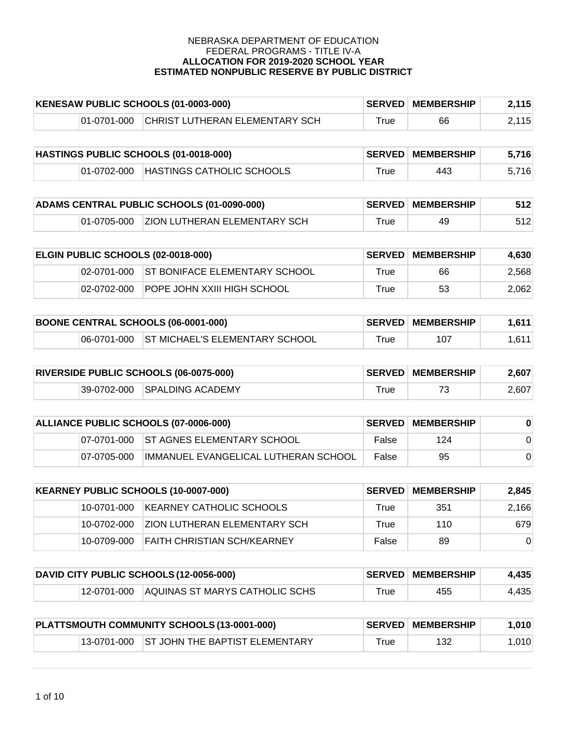| KENESAW PUBLIC SCHOOLS (01-0003-000) |             |                                | <b>SERVED MEMBERSHIP</b> | 2,115 |       |
|--------------------------------------|-------------|--------------------------------|--------------------------|-------|-------|
|                                      | 01-0701-000 | CHRIST LUTHERAN ELEMENTARY SCH | True                     | 66    | 2,115 |

| HASTINGS PUBLIC SCHOOLS (01-0018-000) |             |                           | <b>SERVED MEMBERSHIP</b> | 5,716 |       |
|---------------------------------------|-------------|---------------------------|--------------------------|-------|-------|
|                                       | 01-0702-000 | HASTINGS CATHOLIC SCHOOLS | $^\mathsf{true}$         | 443   | 5,716 |

| ADAMS CENTRAL PUBLIC SCHOOLS (01-0090-000) |  |                                          | <b>SERVED MEMBERSHIP</b> | 512 |     |
|--------------------------------------------|--|------------------------------------------|--------------------------|-----|-----|
|                                            |  | 01-0705-000 ZION LUTHERAN ELEMENTARY SCH | $\mathsf{^{\tau}rue}$    | 49  | 512 |

| <b>ELGIN PUBLIC SCHOOLS (02-0018-000)</b> |             |                                           | <b>SERVED MEMBERSHIP</b> | 4.630 |       |
|-------------------------------------------|-------------|-------------------------------------------|--------------------------|-------|-------|
|                                           |             | 02-0701-000 ST BONIFACE ELEMENTARY SCHOOL | True                     | 66    | 2,568 |
|                                           | 02-0702-000 | <b>POPE JOHN XXIII HIGH SCHOOL</b>        | True                     | 53    | 2.062 |

| <b>BOONE CENTRAL SCHOOLS (06-0001-000)</b> |  |                                            | <b>SERVED MEMBERSHIP</b> | 1.611 <sub>1</sub> |       |
|--------------------------------------------|--|--------------------------------------------|--------------------------|--------------------|-------|
|                                            |  | 06-0701-000 ST MICHAEL'S ELEMENTARY SCHOOL | ⊤rue                     | 107                | 1.611 |

| <b>RIVERSIDE PUBLIC SCHOOLS (06-0075-000)</b> |  |                              | <b>SERVED MEMBERSHIP</b> | 2,607 |       |
|-----------------------------------------------|--|------------------------------|--------------------------|-------|-------|
|                                               |  | 39-0702-000 SPALDING ACADEMY | $\mathsf{^{\tau}rue}$    |       | 2.607 |

| ALLIANCE PUBLIC SCHOOLS (07-0006-000) |             |                                        | <b>SERVED MEMBERSHIP</b> |     |  |
|---------------------------------------|-------------|----------------------------------------|--------------------------|-----|--|
|                                       |             | 07-0701-000 ST AGNES ELEMENTARY SCHOOL | False                    | 124 |  |
|                                       | 07-0705-000 | IMMANUEL EVANGELICAL LUTHERAN SCHOOL   | False                    | 95  |  |

| KEARNEY PUBLIC SCHOOLS (10-0007-000) |               | <b>SERVED</b>                        | <b>MEMBERSHIP</b> | 2.845 |          |
|--------------------------------------|---------------|--------------------------------------|-------------------|-------|----------|
|                                      | 10-0701-000   | IKEARNEY CATHOLIC SCHOOLS            | True              | 351   | 2,166    |
|                                      | 10-0702-000   | <b>IZION LUTHERAN ELEMENTARY SCH</b> | True              | 110   | 679      |
|                                      | 10-0709-000 \ | <b>FAITH CHRISTIAN SCH/KEARNEY</b>   | False             | 89    | $\Omega$ |

| DAVID CITY PUBLIC SCHOOLS (12-0056-000) |  |                                            | <b>SERVED MEMBERSHIP</b> | 4,435 |       |
|-----------------------------------------|--|--------------------------------------------|--------------------------|-------|-------|
|                                         |  | 12-0701-000 AQUINAS ST MARYS CATHOLIC SCHS | $^{\mathsf{r}}$ rue      | 455   | 4,435 |

| PLATTSMOUTH COMMUNITY SCHOOLS (13-0001-000) |  |                                            | <b>SERVED MEMBERSHIP</b> | 1.010 |      |
|---------------------------------------------|--|--------------------------------------------|--------------------------|-------|------|
|                                             |  | 13-0701-000 ST JOHN THE BAPTIST ELEMENTARY | ™rue                     | 132   | .010 |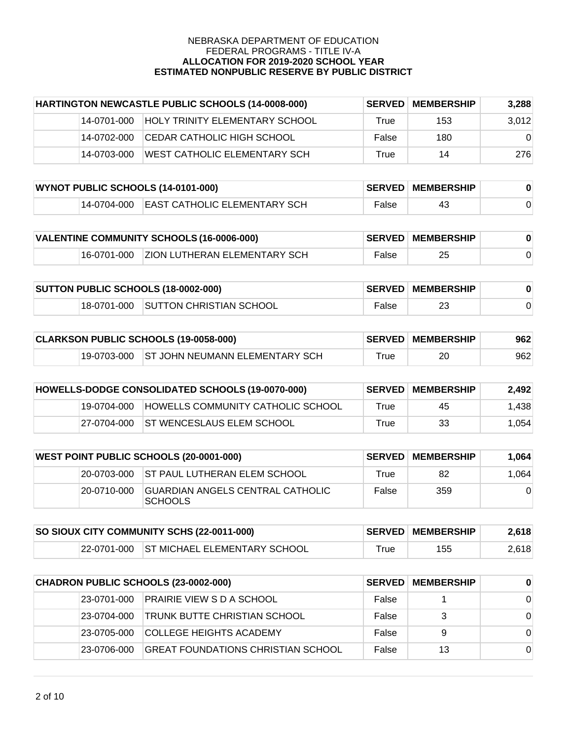| HARTINGTON NEWCASTLE PUBLIC SCHOOLS (14-0008-000) |             | <b>SERVED</b>                         | <b>MEMBERSHIP</b> | 3,288 |          |
|---------------------------------------------------|-------------|---------------------------------------|-------------------|-------|----------|
|                                                   | 14-0701-000 | <b>HOLY TRINITY ELEMENTARY SCHOOL</b> | True              | 153   | 3,012    |
|                                                   | 14-0702-000 | ICEDAR CATHOLIC HIGH SCHOOL           | False             | 180   | $\Omega$ |
|                                                   | 14-0703-000 | WEST CATHOLIC ELEMENTARY SCH          | True              | 14    | 276      |

| WYNOT PUBLIC SCHOOLS (14-0101-000) |  |                                          | <b>SERVED MEMBERSHIP</b> |    |  |
|------------------------------------|--|------------------------------------------|--------------------------|----|--|
|                                    |  | 14-0704-000 EAST CATHOLIC ELEMENTARY SCH | False                    | 43 |  |

| VALENTINE COMMUNITY SCHOOLS (16-0006-000) |  |                                          | <b>SERVED MEMBERSHIP</b> |    |  |
|-------------------------------------------|--|------------------------------------------|--------------------------|----|--|
|                                           |  | 16-0701-000 ZION LUTHERAN ELEMENTARY SCH | False                    | 25 |  |

| SUTTON PUBLIC SCHOOLS (18-0002-000) |  |                                     | <b>SERVED MEMBERSHIP</b> |  |  |
|-------------------------------------|--|-------------------------------------|--------------------------|--|--|
|                                     |  | 18-0701-000 SUTTON CHRISTIAN SCHOOL | False                    |  |  |

| CLARKSON PUBLIC SCHOOLS (19-0058-000) |  |                                            | <b>SERVED MEMBERSHIP</b> | 962 |     |
|---------------------------------------|--|--------------------------------------------|--------------------------|-----|-----|
|                                       |  | 19-0703-000 ST JOHN NEUMANN ELEMENTARY SCH | $\mathsf{true}$          | 20  | 962 |

| HOWELLS-DODGE CONSOLIDATED SCHOOLS (19-0070-000) |             |                                   | <b>SERVED MEMBERSHIP</b> | 2.492 |       |
|--------------------------------------------------|-------------|-----------------------------------|--------------------------|-------|-------|
|                                                  | 19-0704-000 | HOWELLS COMMUNITY CATHOLIC SCHOOL | True                     | 45    | 1.438 |
|                                                  | 27-0704-000 | <b>ST WENCESLAUS ELEM SCHOOL</b>  | True                     | 33    | 1.054 |

| <b>WEST POINT PUBLIC SCHOOLS (20-0001-000)</b> |             |                                                     | <b>SERVED MEMBERSHIP</b> | 1.064 |          |
|------------------------------------------------|-------------|-----------------------------------------------------|--------------------------|-------|----------|
|                                                |             | 20-0703-000 ST PAUL LUTHERAN ELEM SCHOOL            | True                     | 82    | 1.064    |
|                                                | 20-0710-000 | IGUARDIAN ANGELS CENTRAL CATHOLIC<br><b>SCHOOLS</b> | False                    | 359   | $\Omega$ |

| SO SIOUX CITY COMMUNITY SCHS (22-0011-000) |  |                                          | <b>SERVED MEMBERSHIP</b> | 2.618 |       |
|--------------------------------------------|--|------------------------------------------|--------------------------|-------|-------|
|                                            |  | 22-0701-000 ST MICHAEL ELEMENTARY SCHOOL | ⊤rue                     | 155   | 2,618 |

| CHADRON PUBLIC SCHOOLS (23-0002-000) |              |                                     | <b>SERVED MEMBERSHIP</b> | $\bf{0}$ |          |
|--------------------------------------|--------------|-------------------------------------|--------------------------|----------|----------|
|                                      | 23-0701-000  | <b>PRAIRIE VIEW S D A SCHOOL</b>    | False                    |          | $\Omega$ |
|                                      | 23-0704-000  | <b>TRUNK BUTTE CHRISTIAN SCHOOL</b> | False                    | 3        | $\Omega$ |
|                                      | 23-0705-000  | <b>COLLEGE HEIGHTS ACADEMY</b>      | False                    | 9        | $\Omega$ |
|                                      | 123-0706-000 | GREAT FOUNDATIONS CHRISTIAN SCHOOL  | False                    | 13       | $\Omega$ |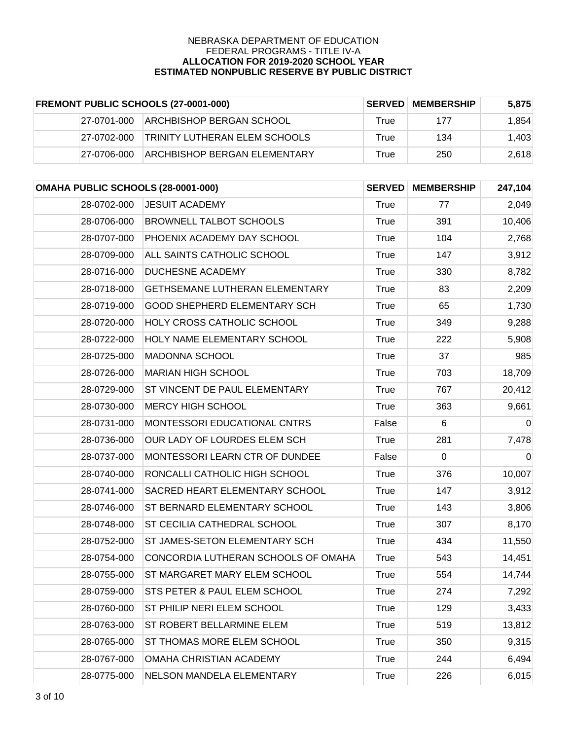| FREMONT PUBLIC SCHOOLS (27-0001-000) |             | <b>SERVED</b>                        | <b>MEMBERSHIP</b> | 5.875 |       |
|--------------------------------------|-------------|--------------------------------------|-------------------|-------|-------|
|                                      | 27-0701-000 | ARCHBISHOP BERGAN SCHOOL             | True              | 177   | 1.854 |
|                                      | 27-0702-000 | <b>TRINITY LUTHERAN ELEM SCHOOLS</b> | True              | 134   | 1.403 |
|                                      | 27-0706-000 | <b>ARCHBISHOP BERGAN ELEMENTARY</b>  | True              | 250   | 2.618 |

| OMAHA PUBLIC SCHOOLS (28-0001-000) |                                       | <b>SERVED</b> | <b>MEMBERSHIP</b> | 247,104   |
|------------------------------------|---------------------------------------|---------------|-------------------|-----------|
| 28-0702-000                        | <b>JESUIT ACADEMY</b>                 | True          | 77                | 2,049     |
| 28-0706-000                        | <b>BROWNELL TALBOT SCHOOLS</b>        | <b>True</b>   | 391               | 10,406    |
| 28-0707-000                        | PHOENIX ACADEMY DAY SCHOOL            | True          | 104               | 2,768     |
| 28-0709-000                        | ALL SAINTS CATHOLIC SCHOOL            | <b>True</b>   | 147               | 3,912     |
| 28-0716-000                        | <b>DUCHESNE ACADEMY</b>               | <b>True</b>   | 330               | 8,782     |
| 28-0718-000                        | <b>GETHSEMANE LUTHERAN ELEMENTARY</b> | <b>True</b>   | 83                | 2,209     |
| 28-0719-000                        | <b>GOOD SHEPHERD ELEMENTARY SCH</b>   | <b>True</b>   | 65                | 1,730     |
| 28-0720-000                        | HOLY CROSS CATHOLIC SCHOOL            | <b>True</b>   | 349               | 9,288     |
| 28-0722-000                        | HOLY NAME ELEMENTARY SCHOOL           | <b>True</b>   | 222               | 5,908     |
| 28-0725-000                        | MADONNA SCHOOL                        | <b>True</b>   | 37                | 985       |
| 28-0726-000                        | <b>MARIAN HIGH SCHOOL</b>             | <b>True</b>   | 703               | 18,709    |
| 28-0729-000                        | ST VINCENT DE PAUL ELEMENTARY         | <b>True</b>   | 767               | 20,412    |
| 28-0730-000                        | MERCY HIGH SCHOOL                     | <b>True</b>   | 363               | 9,661     |
| 28-0731-000                        | MONTESSORI EDUCATIONAL CNTRS          | False         | 6                 | $\pmb{0}$ |
| 28-0736-000                        | OUR LADY OF LOURDES ELEM SCH          | <b>True</b>   | 281               | 7,478     |
| 28-0737-000                        | MONTESSORI LEARN CTR OF DUNDEE        | False         | $\mathbf 0$       | $\pmb{0}$ |
| 28-0740-000                        | RONCALLI CATHOLIC HIGH SCHOOL         | <b>True</b>   | 376               | 10,007    |
| 28-0741-000                        | SACRED HEART ELEMENTARY SCHOOL        | <b>True</b>   | 147               | 3,912     |
| 28-0746-000                        | ST BERNARD ELEMENTARY SCHOOL          | <b>True</b>   | 143               | 3,806     |
| 28-0748-000                        | <b>ST CECILIA CATHEDRAL SCHOOL</b>    | <b>True</b>   | 307               | 8,170     |
| 28-0752-000                        | <b>ST JAMES-SETON ELEMENTARY SCH</b>  | True          | 434               | 11,550    |
| 28-0754-000                        | CONCORDIA LUTHERAN SCHOOLS OF OMAHA   | True          | 543               | 14,451    |
| 28-0755-000                        | ST MARGARET MARY ELEM SCHOOL          | <b>True</b>   | 554               | 14,744    |
| 28-0759-000                        | STS PETER & PAUL ELEM SCHOOL          | <b>True</b>   | 274               | 7,292     |
| 28-0760-000                        | ST PHILIP NERI ELEM SCHOOL            | True          | 129               | 3,433     |
| 28-0763-000                        | ST ROBERT BELLARMINE ELEM             | <b>True</b>   | 519               | 13,812    |
| 28-0765-000                        | ST THOMAS MORE ELEM SCHOOL            | <b>True</b>   | 350               | 9,315     |
| 28-0767-000                        | OMAHA CHRISTIAN ACADEMY               | <b>True</b>   | 244               | 6,494     |
| 28-0775-000                        | NELSON MANDELA ELEMENTARY             | <b>True</b>   | 226               | 6,015     |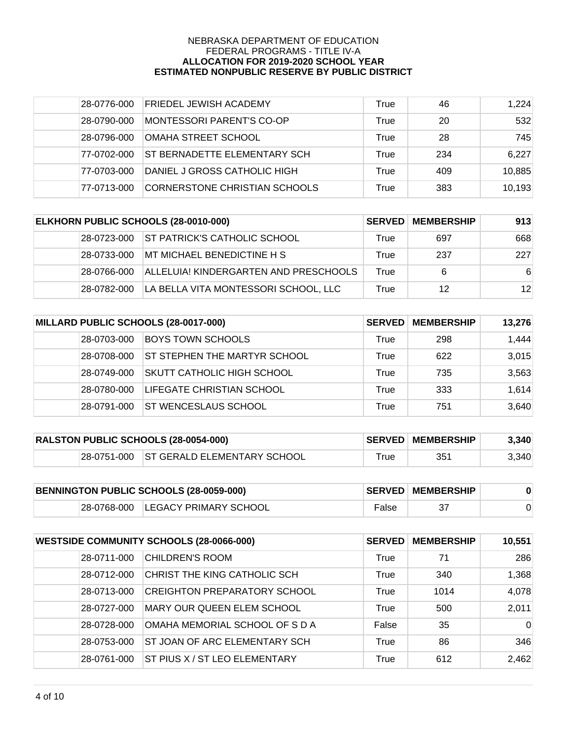| 28-0776-000 | <b>FRIEDEL JEWISH ACADEMY</b>       | True | 46  | 1,224  |
|-------------|-------------------------------------|------|-----|--------|
| 28-0790-000 | MONTESSORI PARENT'S CO-OP           | True | 20  | 532    |
| 28-0796-000 | OMAHA STREET SCHOOL                 | True | 28  | 745    |
| 77-0702-000 | <b>ST BERNADETTE ELEMENTARY SCH</b> | True | 234 | 6,227  |
| 77-0703-000 | DANIEL J GROSS CATHOLIC HIGH        | True | 409 | 10,885 |
| 77-0713-000 | CORNERSTONE CHRISTIAN SCHOOLS       | True | 383 | 10,193 |

| ELKHORN PUBLIC SCHOOLS (28-0010-000) |             | <b>SERVED</b>                         | <b>MEMBERSHIP</b> | 913 |     |
|--------------------------------------|-------------|---------------------------------------|-------------------|-----|-----|
|                                      | 28-0723-000 | <b>ST PATRICK'S CATHOLIC SCHOOL</b>   | True              | 697 | 668 |
|                                      | 28-0733-000 | MT MICHAEL BENEDICTINE H S            | True              | 237 | 227 |
|                                      | 28-0766-000 | ALLELUIA! KINDERGARTEN AND PRESCHOOLS | True              | 6   | -6  |
|                                      | 28-0782-000 | LA BELLA VITA MONTESSORI SCHOOL, LLC  | True              | 12  | 12  |

| MILLARD PUBLIC SCHOOLS (28-0017-000) |             | <b>SERVED</b>                       | <b>MEMBERSHIP</b> | 13.276 |       |
|--------------------------------------|-------------|-------------------------------------|-------------------|--------|-------|
|                                      | 28-0703-000 | <b>BOYS TOWN SCHOOLS</b>            | True              | 298    | 1,444 |
|                                      | 28-0708-000 | <b>ST STEPHEN THE MARTYR SCHOOL</b> | True              | 622    | 3,015 |
|                                      | 28-0749-000 | ISKUTT CATHOLIC HIGH SCHOOL         | True              | 735    | 3,563 |
|                                      | 28-0780-000 | <b>LIFEGATE CHRISTIAN SCHOOL</b>    | True              | 333    | 1,614 |
|                                      | 28-0791-000 | <b>ST WENCESLAUS SCHOOL</b>         | True              | 751    | 3,640 |

| <b>RALSTON PUBLIC SCHOOLS (28-0054-000)</b> |  |                                         | <b>SERVED MEMBERSHIP</b> | 3,340 |       |
|---------------------------------------------|--|-----------------------------------------|--------------------------|-------|-------|
|                                             |  | 28-0751-000 ST GERALD ELEMENTARY SCHOOL | ⊤rue                     | 351   | 3,340 |

| BENNINGTON PUBLIC SCHOOLS (28-0059-000) |  |                                   | <b>SERVED MEMBERSHIP</b> |  |  |
|-----------------------------------------|--|-----------------------------------|--------------------------|--|--|
|                                         |  | 28-0768-000 LEGACY PRIMARY SCHOOL | False                    |  |  |

| <b>WESTSIDE COMMUNITY SCHOOLS (28-0066-000)</b> |             | <b>SERVED</b>                        | <b>MEMBERSHIP</b> | 10,551 |          |
|-------------------------------------------------|-------------|--------------------------------------|-------------------|--------|----------|
|                                                 | 28-0711-000 | <b>CHILDREN'S ROOM</b>               | True              | 71     | 286      |
|                                                 | 28-0712-000 | CHRIST THE KING CATHOLIC SCH         | True              | 340    | 1,368    |
|                                                 | 28-0713-000 | <b>CREIGHTON PREPARATORY SCHOOL</b>  | True              | 1014   | 4,078    |
|                                                 | 28-0727-000 | <b>MARY OUR QUEEN ELEM SCHOOL</b>    | True              | 500    | 2,011    |
|                                                 | 28-0728-000 | OMAHA MEMORIAL SCHOOL OF S D A       | False             | 35     | $\Omega$ |
|                                                 | 28-0753-000 | ST JOAN OF ARC ELEMENTARY SCH        | True              | 86     | 346      |
|                                                 | 28-0761-000 | <b>ST PIUS X / ST LEO ELEMENTARY</b> | True              | 612    | 2,462    |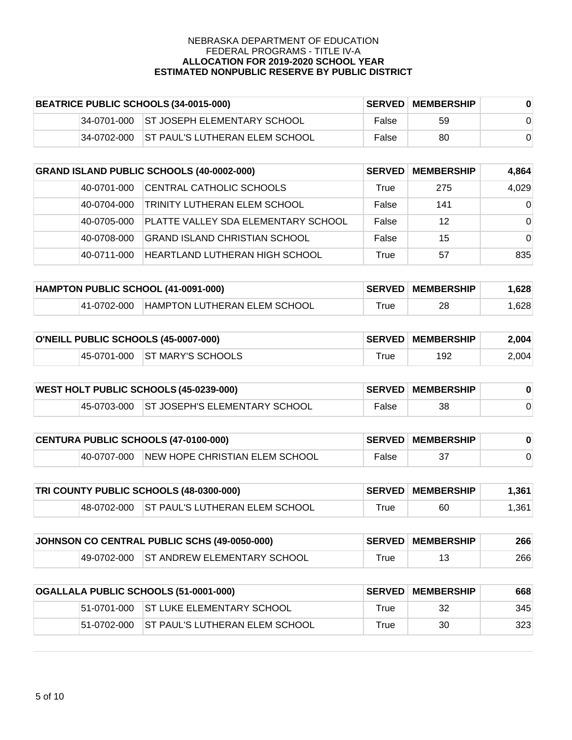|             | BEATRICE PUBLIC SCHOOLS (34-0015-000)   |       | <b>SERVED MEMBERSHIP</b> |  |
|-------------|-----------------------------------------|-------|--------------------------|--|
|             | 34-0701-000 ST JOSEPH ELEMENTARY SCHOOL | False | 59                       |  |
| 34-0702-000 | <b>IST PAUL'S LUTHERAN ELEM SCHOOL</b>  | False | 80                       |  |

| <b>GRAND ISLAND PUBLIC SCHOOLS (40-0002-000)</b> |             | <b>SERVED</b>                        | <b>MEMBERSHIP</b> | 4,864 |          |
|--------------------------------------------------|-------------|--------------------------------------|-------------------|-------|----------|
|                                                  | 40-0701-000 | CENTRAL CATHOLIC SCHOOLS             | True              | 275   | 4,029    |
|                                                  | 40-0704-000 | TRINITY LUTHERAN ELEM SCHOOL         | False             | 141   | $\Omega$ |
|                                                  | 40-0705-000 | PLATTE VALLEY SDA ELEMENTARY SCHOOL  | False             | 12    | $\Omega$ |
|                                                  | 40-0708-000 | <b>GRAND ISLAND CHRISTIAN SCHOOL</b> | False             | 15    | $\Omega$ |
|                                                  | 40-0711-000 | HEARTLAND LUTHERAN HIGH SCHOOL       | True              | 57    | 835      |

| HAMPTON PUBLIC SCHOOL (41-0091-000) |             |                                     | <b>SERVED MEMBERSHIP</b> | .628 |       |
|-------------------------------------|-------------|-------------------------------------|--------------------------|------|-------|
|                                     | 41-0702-000 | <b>HAMPTON LUTHERAN ELEM SCHOOL</b> | $r$ rue                  | 28   | 1.628 |

| O'NEILL PUBLIC SCHOOLS (45-0007-000) |  |                               | <b>SERVED MEMBERSHIP</b> | 2.004 |       |
|--------------------------------------|--|-------------------------------|--------------------------|-------|-------|
|                                      |  | 45-0701-000 ST MARY'S SCHOOLS | ⊤rue                     | 192   | 2,004 |

| <b>WEST HOLT PUBLIC SCHOOLS (45-0239-000)</b> |  |                                           | <b>SERVED MEMBERSHIP</b> |    |  |
|-----------------------------------------------|--|-------------------------------------------|--------------------------|----|--|
|                                               |  | 45-0703-000 ST JOSEPH'S ELEMENTARY SCHOOL | False                    | 38 |  |

| CENTURA PUBLIC SCHOOLS (47-0100-000) |             |                                | <b>SERVED MEMBERSHIP</b> |  |  |
|--------------------------------------|-------------|--------------------------------|--------------------------|--|--|
|                                      | 40-0707-000 | NEW HOPE CHRISTIAN ELEM SCHOOL | False                    |  |  |

| <b>TRI COUNTY PUBLIC SCHOOLS (48-0300-000)</b> |  |                                            | <b>SERVED MEMBERSHIP</b> | 1,361 |       |
|------------------------------------------------|--|--------------------------------------------|--------------------------|-------|-------|
|                                                |  | 48-0702-000 ST PAUL'S LUTHERAN ELEM SCHOOL | ™rue                     | 60    | 1.361 |

| JOHNSON CO CENTRAL PUBLIC SCHS (49-0050-000) |  |                                         | <b>SERVED MEMBERSHIP</b> | 266 |     |
|----------------------------------------------|--|-----------------------------------------|--------------------------|-----|-----|
|                                              |  | 49-0702-000 ST ANDREW ELEMENTARY SCHOOL | $\tau$ rue               | 13  | 266 |

| OGALLALA PUBLIC SCHOOLS (51-0001-000) |             | <b>SERVED</b>                   | <b>MEMBERSHIP</b> | 668 |     |
|---------------------------------------|-------------|---------------------------------|-------------------|-----|-----|
|                                       | 51-0701-000 | IST LUKE ELEMENTARY SCHOOL      | True              | 32  | 345 |
|                                       | 51-0702-000 | IST PAUL'S LUTHERAN ELEM SCHOOL | True              | 30  | 323 |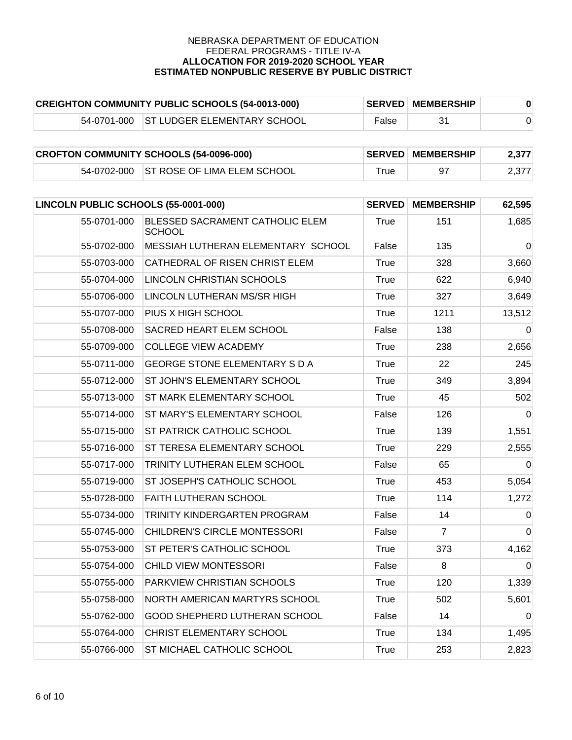| <b>CREIGHTON COMMUNITY PUBLIC SCHOOLS (54-0013-000)</b> |  |                                         | <b>SERVED MEMBERSHIP</b> |  |  |
|---------------------------------------------------------|--|-----------------------------------------|--------------------------|--|--|
|                                                         |  | 54-0701-000 ST LUDGER ELEMENTARY SCHOOL | False                    |  |  |

| <b>CROFTON COMMUNITY SCHOOLS (54-0096-000)</b> |  |                                         | <b>SERVED MEMBERSHIP</b> | 2.377 |       |
|------------------------------------------------|--|-----------------------------------------|--------------------------|-------|-------|
|                                                |  | 54-0702-000 ST ROSE OF LIMA ELEM SCHOOL | $\tau$ rue               |       | 2,377 |

|             | LINCOLN PUBLIC SCHOOLS (55-0001-000)             |             | <b>SERVED</b><br><b>MEMBERSHIP</b> | 62,595         |
|-------------|--------------------------------------------------|-------------|------------------------------------|----------------|
| 55-0701-000 | BLESSED SACRAMENT CATHOLIC ELEM<br><b>SCHOOL</b> | True        | 151                                | 1,685          |
| 55-0702-000 | MESSIAH LUTHERAN ELEMENTARY SCHOOL               | False       | 135                                | $\overline{0}$ |
| 55-0703-000 | CATHEDRAL OF RISEN CHRIST ELEM                   | True        | 328                                | 3,660          |
| 55-0704-000 | LINCOLN CHRISTIAN SCHOOLS                        | <b>True</b> | 622                                | 6,940          |
| 55-0706-000 | LINCOLN LUTHERAN MS/SR HIGH                      | True        | 327                                | 3,649          |
| 55-0707-000 | PIUS X HIGH SCHOOL                               | <b>True</b> | 1211                               | 13,512         |
| 55-0708-000 | SACRED HEART ELEM SCHOOL                         | False       | 138                                | $\Omega$       |
| 55-0709-000 | <b>COLLEGE VIEW ACADEMY</b>                      | True        | 238                                | 2,656          |
| 55-0711-000 | <b>GEORGE STONE ELEMENTARY S D A</b>             | <b>True</b> | 22                                 | 245            |
| 55-0712-000 | ST JOHN'S ELEMENTARY SCHOOL                      | True        | 349                                | 3,894          |
| 55-0713-000 | ST MARK ELEMENTARY SCHOOL                        | True        | 45                                 | 502            |
| 55-0714-000 | ST MARY'S ELEMENTARY SCHOOL                      | False       | 126                                | 0              |
| 55-0715-000 | ST PATRICK CATHOLIC SCHOOL                       | True        | 139                                | 1,551          |
| 55-0716-000 | ST TERESA ELEMENTARY SCHOOL                      | <b>True</b> | 229                                | 2,555          |
| 55-0717-000 | TRINITY LUTHERAN ELEM SCHOOL                     | False       | 65                                 | $\Omega$       |
| 55-0719-000 | ST JOSEPH'S CATHOLIC SCHOOL                      | True        | 453                                | 5,054          |
| 55-0728-000 | <b>FAITH LUTHERAN SCHOOL</b>                     | <b>True</b> | 114                                | 1,272          |
| 55-0734-000 | TRINITY KINDERGARTEN PROGRAM                     | False       | 14                                 | $\Omega$       |
| 55-0745-000 | <b>CHILDREN'S CIRCLE MONTESSORI</b>              | False       | $\overline{7}$                     | $\Omega$       |
| 55-0753-000 | ST PETER'S CATHOLIC SCHOOL                       | <b>True</b> | 373                                | 4,162          |
| 55-0754-000 | CHILD VIEW MONTESSORI                            | False       | 8                                  | $\Omega$       |
| 55-0755-000 | PARKVIEW CHRISTIAN SCHOOLS                       | <b>True</b> | 120                                | 1,339          |
| 55-0758-000 | NORTH AMERICAN MARTYRS SCHOOL                    | True        | 502                                | 5,601          |
| 55-0762-000 | GOOD SHEPHERD LUTHERAN SCHOOL                    | False       | 14                                 | $\Omega$       |
| 55-0764-000 | CHRIST ELEMENTARY SCHOOL                         | <b>True</b> | 134                                | 1,495          |
| 55-0766-000 | ST MICHAEL CATHOLIC SCHOOL                       | <b>True</b> | 253                                | 2,823          |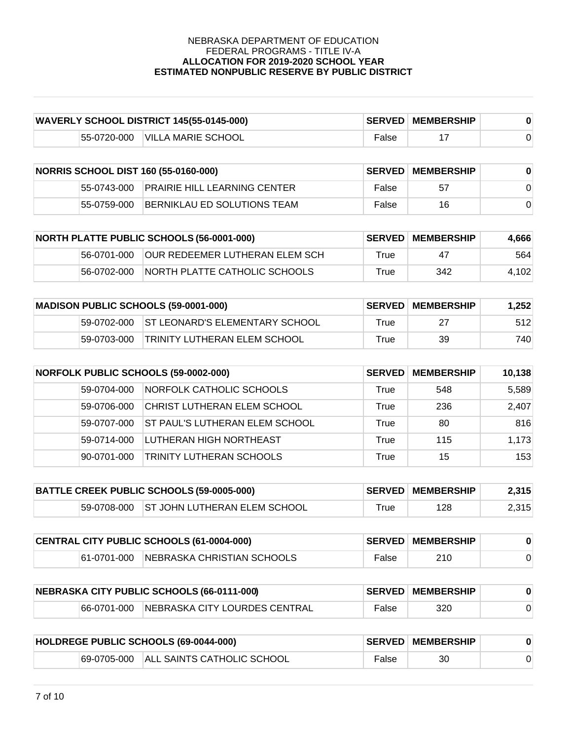| <b>WAVERLY SCHOOL DISTRICT 145(55-0145-000)</b> |  |                                | <b>SERVED MEMBERSHIP</b> |  |  |
|-------------------------------------------------|--|--------------------------------|--------------------------|--|--|
|                                                 |  | 55-0720-000 VILLA MARIE SCHOOL | False                    |  |  |

| <b>NORRIS SCHOOL DIST 160 (55-0160-000)</b> |             |                                          | <b>SERVED MEMBERSHIP</b> |    |  |
|---------------------------------------------|-------------|------------------------------------------|--------------------------|----|--|
|                                             |             | 55-0743-000 PRAIRIE HILL LEARNING CENTER | False                    | 57 |  |
|                                             | 55-0759-000 | <b>BERNIKLAU ED SOLUTIONS TEAM</b>       | False                    | 16 |  |

| <b>NORTH PLATTE PUBLIC SCHOOLS (56-0001-000)</b> |             | <b>SERVED</b>                          | <b>MEMBERSHIP</b> | 4,666 |       |
|--------------------------------------------------|-------------|----------------------------------------|-------------------|-------|-------|
|                                                  | 56-0701-000 | <b>JOUR REDEEMER LUTHERAN ELEM SCH</b> | True              | 47    | 564   |
|                                                  | 56-0702-000 | INORTH PLATTE CATHOLIC SCHOOLS         | True              | 342   | 4.102 |

| <b>MADISON PUBLIC SCHOOLS (59-0001-000)</b> |             |                                 | <b>SERVED MEMBERSHIP</b> | 1,252 |      |
|---------------------------------------------|-------------|---------------------------------|--------------------------|-------|------|
|                                             | 59-0702-000 | IST LEONARD'S ELEMENTARY SCHOOL | True                     | 27    | 512  |
|                                             | 59-0703-000 | ITRINITY LUTHERAN ELEM SCHOOL   | True                     | 39    | 740. |

| <b>NORFOLK PUBLIC SCHOOLS (59-0002-000)</b> |             | <b>SERVED</b>                         | <b>MEMBERSHIP</b> | 10,138 |       |
|---------------------------------------------|-------------|---------------------------------------|-------------------|--------|-------|
|                                             | 59-0704-000 | NORFOLK CATHOLIC SCHOOLS              | True              | 548    | 5,589 |
|                                             | 59-0706-000 | ICHRIST LUTHERAN ELEM SCHOOL          | True              | 236    | 2,407 |
|                                             | 59-0707-000 | <b>ST PAUL'S LUTHERAN ELEM SCHOOL</b> | True              | 80     | 816   |
|                                             | 59-0714-000 | <b>LUTHERAN HIGH NORTHEAST</b>        | True              | 115    | 1,173 |
|                                             | 90-0701-000 | <b>TRINITY LUTHERAN SCHOOLS</b>       | True              | 15     | 153   |

| BATTLE CREEK PUBLIC SCHOOLS (59-0005-000) |  |                                          | <b>SERVED MEMBERSHIP</b> | 2,315 |       |
|-------------------------------------------|--|------------------------------------------|--------------------------|-------|-------|
|                                           |  | 59-0708-000 ST JOHN LUTHERAN ELEM SCHOOL | $T$ rue                  | 128   | 2,315 |

| CENTRAL CITY PUBLIC SCHOOLS (61-0004-000) |  |                                        | <b>SERVED MEMBERSHIP</b> |     |  |
|-------------------------------------------|--|----------------------------------------|--------------------------|-----|--|
|                                           |  | 61-0701-000 NEBRASKA CHRISTIAN SCHOOLS | False                    | 210 |  |

| NEBRASKA CITY PUBLIC SCHOOLS (66-0111-000) |             |                                | <b>SERVED MEMBERSHIP</b> |     |  |
|--------------------------------------------|-------------|--------------------------------|--------------------------|-----|--|
|                                            | 66-0701-000 | INEBRASKA CITY LOURDES CENTRAL | False                    | 320 |  |

| HOLDREGE PUBLIC SCHOOLS (69-0044-000) |             |                                   | <b>SERVED MEMBERSHIP</b> |    |  |
|---------------------------------------|-------------|-----------------------------------|--------------------------|----|--|
|                                       | 69-0705-000 | <b>ALL SAINTS CATHOLIC SCHOOL</b> | False                    | 30 |  |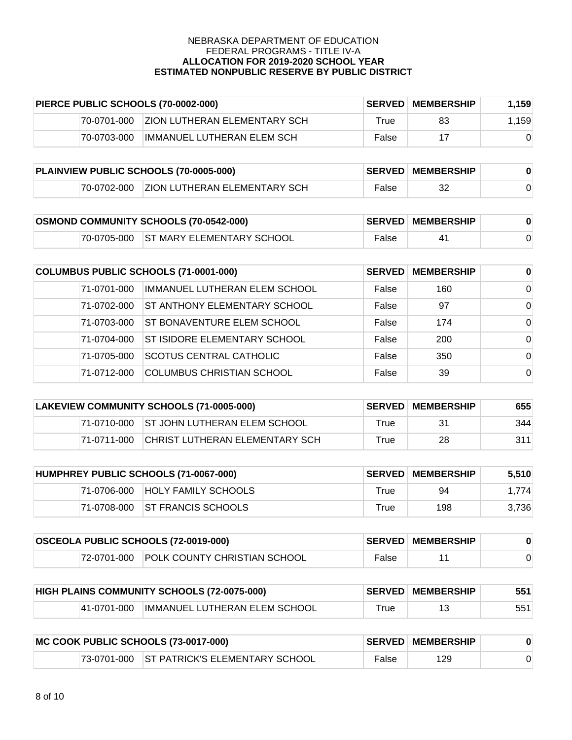| PIERCE PUBLIC SCHOOLS (70-0002-000) |             | <b>SERVED</b>                 | <b>MEMBERSHIP</b> | 1,159 |       |
|-------------------------------------|-------------|-------------------------------|-------------------|-------|-------|
|                                     | 70-0701-000 | IZION LUTHERAN ELEMENTARY SCH | True              | 83    | 1,159 |
|                                     | 70-0703-000 | IMMANUEL LUTHERAN ELEM SCH    | False             |       |       |

| PLAINVIEW PUBLIC SCHOOLS (70-0005-000) |             |                                      | <b>SERVED MEMBERSHIP</b> |  |  |
|----------------------------------------|-------------|--------------------------------------|--------------------------|--|--|
|                                        | 70-0702-000 | <b>IZION LUTHERAN ELEMENTARY SCH</b> | False                    |  |  |

| <b>OSMOND COMMUNITY SCHOOLS (70-0542-000)</b> |  |                                        | <b>SERVED MEMBERSHIP</b> |  |  |
|-----------------------------------------------|--|----------------------------------------|--------------------------|--|--|
|                                               |  | 70-0705-000 IST MARY ELEMENTARY SCHOOL | False                    |  |  |

| COLUMBUS PUBLIC SCHOOLS (71-0001-000) |             | <b>SERVED</b>                       | <b>MEMBERSHIP</b> | $\bf{0}$ |          |
|---------------------------------------|-------------|-------------------------------------|-------------------|----------|----------|
|                                       | 71-0701-000 | IMMANUEL LUTHERAN ELEM SCHOOL       | False             | 160      | $\Omega$ |
|                                       | 71-0702-000 | <b>ST ANTHONY ELEMENTARY SCHOOL</b> | False             | 97       | $\Omega$ |
|                                       | 71-0703-000 | <b>ST BONAVENTURE ELEM SCHOOL</b>   | False             | 174      | $\Omega$ |
|                                       | 71-0704-000 | <b>ST ISIDORE ELEMENTARY SCHOOL</b> | False             | 200      | $\Omega$ |
|                                       | 71-0705-000 | <b>SCOTUS CENTRAL CATHOLIC</b>      | False             | 350      | $\Omega$ |
|                                       | 71-0712-000 | <b>COLUMBUS CHRISTIAN SCHOOL</b>    | False             | 39       | 0        |

| LAKEVIEW COMMUNITY SCHOOLS (71-0005-000) |             |                                          | <b>SERVED MEMBERSHIP</b> | 655 |     |
|------------------------------------------|-------------|------------------------------------------|--------------------------|-----|-----|
|                                          |             | 71-0710-000 ST JOHN LUTHERAN ELEM SCHOOL | True                     | 31  | 344 |
|                                          | 71-0711-000 | CHRIST LUTHERAN ELEMENTARY SCH           | True                     | 28  | 311 |

| HUMPHREY PUBLIC SCHOOLS (71-0067-000) |             | <b>SERVED</b>                  | MEMBERSHIP | 5,510 |       |
|---------------------------------------|-------------|--------------------------------|------------|-------|-------|
|                                       | 71-0706-000 | <b>HOLY FAMILY SCHOOLS</b>     | True       | 94    | 1.774 |
|                                       |             | 71-0708-000 ST FRANCIS SCHOOLS | True       | 198   | 3.736 |

| <b>OSCEOLA PUBLIC SCHOOLS (72-0019-000)</b> |  |                                          | <b>SERVED MEMBERSHIP</b> |  |  |
|---------------------------------------------|--|------------------------------------------|--------------------------|--|--|
|                                             |  | 72-0701-000 POLK COUNTY CHRISTIAN SCHOOL | False                    |  |  |

|             | HIGH PLAINS COMMUNITY SCHOOLS (72-0075-000) |      | <b>SERVED MEMBERSHIP</b> | 551 |
|-------------|---------------------------------------------|------|--------------------------|-----|
| 41-0701-000 | IMMANUEL LUTHERAN ELEM SCHOOL               | ™rue |                          | 551 |

| MC COOK PUBLIC SCHOOLS (73-0017-000) |  |                                            | <b>SERVED MEMBERSHIP</b> |     |  |
|--------------------------------------|--|--------------------------------------------|--------------------------|-----|--|
|                                      |  | 73-0701-000 ST PATRICK'S ELEMENTARY SCHOOL | False                    | 129 |  |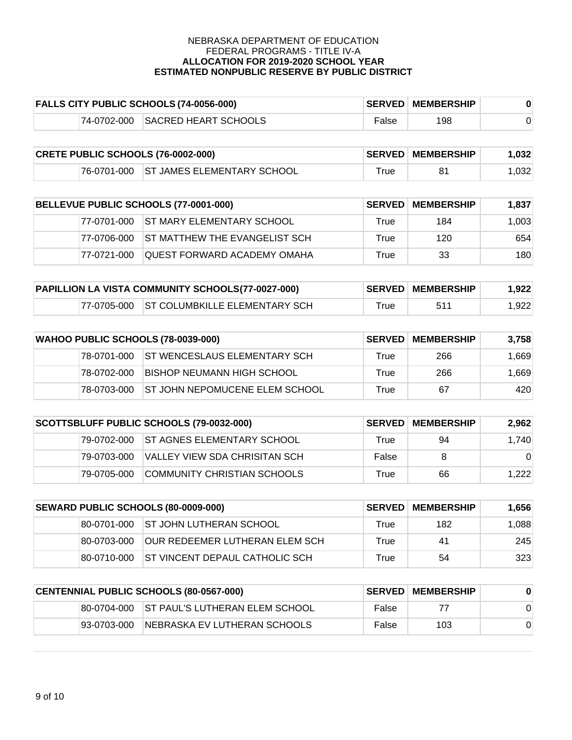|             | <b>FALLS CITY PUBLIC SCHOOLS (74-0056-000)</b> |                   | <b>SERVED MEMBERSHIP</b> |  |
|-------------|------------------------------------------------|-------------------|--------------------------|--|
| 74-0702-000 | SACRED HEART SCHOOLS                           | <sup>⊏</sup> alse | 198                      |  |

| <b>CRETE PUBLIC SCHOOLS (76-0002-000)</b> |  |                                        | <b>SERVED MEMBERSHIP</b> | 1.032 |                   |
|-------------------------------------------|--|----------------------------------------|--------------------------|-------|-------------------|
|                                           |  | 76-0701-000 ST JAMES ELEMENTARY SCHOOL | $\tau$ rue               |       | .032 <sub>1</sub> |

| BELLEVUE PUBLIC SCHOOLS (77-0001-000) |              | <b>SERVED</b>                         | <b>MEMBERSHIP</b> | 1.837 |       |
|---------------------------------------|--------------|---------------------------------------|-------------------|-------|-------|
|                                       |              | 77-0701-000 ST MARY ELEMENTARY SCHOOL | True              | 184   | 1,003 |
|                                       | 177-0706-000 | IST MATTHEW THE EVANGELIST SCH        | True              | 120   | 654   |
|                                       | 77-0721-000  | QUEST FORWARD ACADEMY OMAHA           | True              | 33    | 180   |

| PAPILLION LA VISTA COMMUNITY SCHOOLS(77-0027-000) |  |                                            | <b>SERVED MEMBERSHIP</b> | 1.922 |       |
|---------------------------------------------------|--|--------------------------------------------|--------------------------|-------|-------|
|                                                   |  | 177-0705-000 ST COLUMBKILLE ELEMENTARY SCH | $\mathsf{^{\tau}rue}$    | 511   | 1,922 |

| WAHOO PUBLIC SCHOOLS (78-0039-000) |             | <b>SERVED</b>                            | <b>MEMBERSHIP</b> | 3.758 |       |
|------------------------------------|-------------|------------------------------------------|-------------------|-------|-------|
|                                    |             | 78-0701-000 ST WENCESLAUS ELEMENTARY SCH | True              | 266   | 1.669 |
|                                    | 78-0702-000 | BISHOP NEUMANN HIGH SCHOOL               | True              | 266   | 1.669 |
|                                    | 78-0703-000 | <b>IST JOHN NEPOMUCENE ELEM SCHOOL</b>   | True              | 67    | 420   |

| SCOTTSBLUFF PUBLIC SCHOOLS (79-0032-000) |             |                                    | <b>SERVED MEMBERSHIP</b> | 2.962 |          |
|------------------------------------------|-------------|------------------------------------|--------------------------|-------|----------|
|                                          | 79-0702-000 | <b>IST AGNES ELEMENTARY SCHOOL</b> | True                     | 94    | 1,740    |
|                                          | 79-0703-000 | IVALLEY VIEW SDA CHRISITAN SCH.    | False                    | 8     | $\Omega$ |
|                                          | 79-0705-000 | COMMUNITY CHRISTIAN SCHOOLS        | True                     | 66    | 1,222    |

| <b>SEWARD PUBLIC SCHOOLS (80-0009-000)</b> |             | <b>SERVED I</b>                        | <b>MEMBERSHIP</b> | 1,656 |       |
|--------------------------------------------|-------------|----------------------------------------|-------------------|-------|-------|
|                                            |             | 80-0701-000 ST JOHN LUTHERAN SCHOOL    | True              | 182   | 1,088 |
|                                            | 80-0703-000 | IOUR REDEEMER LUTHERAN ELEM SCH        | True              | 41    | 245   |
|                                            | 80-0710-000 | <b>IST VINCENT DEPAUL CATHOLIC SCH</b> | True              | 54    | 323   |

| CENTENNIAL PUBLIC SCHOOLS (80-0567-000) |             |                                              | <b>SERVED</b> | MEMBERSHIP |  |
|-----------------------------------------|-------------|----------------------------------------------|---------------|------------|--|
|                                         |             | 180-0704-000 IST PAUL'S LUTHERAN ELEM SCHOOL | False         | 77         |  |
|                                         | 93-0703-000 | NEBRASKA EV LUTHERAN SCHOOLS                 | False         | 103        |  |